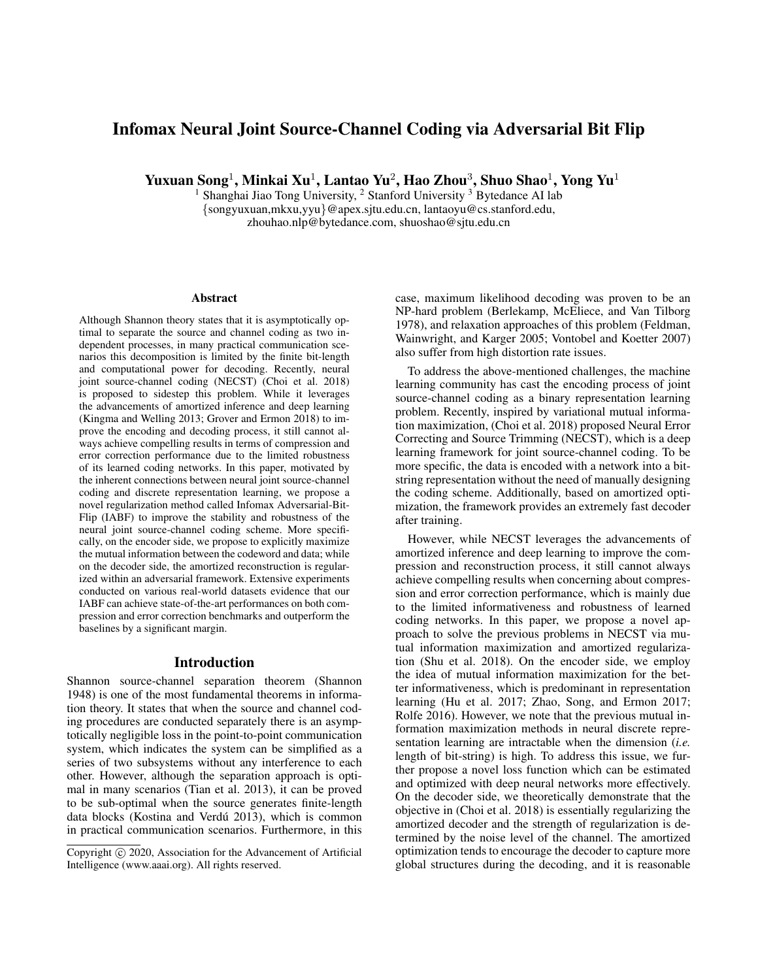# Infomax Neural Joint Source-Channel Coding via Adversarial Bit Flip

Yuxuan Song $^1$ , Minkai Xu $^1$ , Lantao Yu $^2$ , Hao Zhou $^3$ , Shuo Shao $^1$ , Yong Yu $^1$ 

<sup>1</sup> Shanghai Jiao Tong University, <sup>2</sup> Stanford University <sup>3</sup> Bytedance AI lab {songyuxuan,mkxu,yyu}@apex.sjtu.edu.cn, lantaoyu@cs.stanford.edu, zhouhao.nlp@bytedance.com, shuoshao@sjtu.edu.cn

#### **Abstract**

Although Shannon theory states that it is asymptotically optimal to separate the source and channel coding as two independent processes, in many practical communication scenarios this decomposition is limited by the finite bit-length and computational power for decoding. Recently, neural joint source-channel coding (NECST) (Choi et al. 2018) is proposed to sidestep this problem. While it leverages the advancements of amortized inference and deep learning (Kingma and Welling 2013; Grover and Ermon 2018) to improve the encoding and decoding process, it still cannot always achieve compelling results in terms of compression and error correction performance due to the limited robustness of its learned coding networks. In this paper, motivated by the inherent connections between neural joint source-channel coding and discrete representation learning, we propose a novel regularization method called Infomax Adversarial-Bit-Flip (IABF) to improve the stability and robustness of the neural joint source-channel coding scheme. More specifically, on the encoder side, we propose to explicitly maximize the mutual information between the codeword and data; while on the decoder side, the amortized reconstruction is regularized within an adversarial framework. Extensive experiments conducted on various real-world datasets evidence that our IABF can achieve state-of-the-art performances on both compression and error correction benchmarks and outperform the baselines by a significant margin.

#### Introduction

Shannon source-channel separation theorem (Shannon 1948) is one of the most fundamental theorems in information theory. It states that when the source and channel coding procedures are conducted separately there is an asymptotically negligible loss in the point-to-point communication system, which indicates the system can be simplified as a series of two subsystems without any interference to each other. However, although the separation approach is optimal in many scenarios (Tian et al. 2013), it can be proved to be sub-optimal when the source generates finite-length data blocks (Kostina and Verdú 2013), which is common in practical communication scenarios. Furthermore, in this case, maximum likelihood decoding was proven to be an NP-hard problem (Berlekamp, McEliece, and Van Tilborg 1978), and relaxation approaches of this problem (Feldman, Wainwright, and Karger 2005; Vontobel and Koetter 2007) also suffer from high distortion rate issues.

To address the above-mentioned challenges, the machine learning community has cast the encoding process of joint source-channel coding as a binary representation learning problem. Recently, inspired by variational mutual information maximization, (Choi et al. 2018) proposed Neural Error Correcting and Source Trimming (NECST), which is a deep learning framework for joint source-channel coding. To be more specific, the data is encoded with a network into a bitstring representation without the need of manually designing the coding scheme. Additionally, based on amortized optimization, the framework provides an extremely fast decoder after training.

However, while NECST leverages the advancements of amortized inference and deep learning to improve the compression and reconstruction process, it still cannot always achieve compelling results when concerning about compression and error correction performance, which is mainly due to the limited informativeness and robustness of learned coding networks. In this paper, we propose a novel approach to solve the previous problems in NECST via mutual information maximization and amortized regularization (Shu et al. 2018). On the encoder side, we employ the idea of mutual information maximization for the better informativeness, which is predominant in representation learning (Hu et al. 2017; Zhao, Song, and Ermon 2017; Rolfe 2016). However, we note that the previous mutual information maximization methods in neural discrete representation learning are intractable when the dimension (*i.e.* length of bit-string) is high. To address this issue, we further propose a novel loss function which can be estimated and optimized with deep neural networks more effectively. On the decoder side, we theoretically demonstrate that the objective in (Choi et al. 2018) is essentially regularizing the amortized decoder and the strength of regularization is determined by the noise level of the channel. The amortized optimization tends to encourage the decoder to capture more global structures during the decoding, and it is reasonable

Copyright (c) 2020, Association for the Advancement of Artificial Intelligence (www.aaai.org). All rights reserved.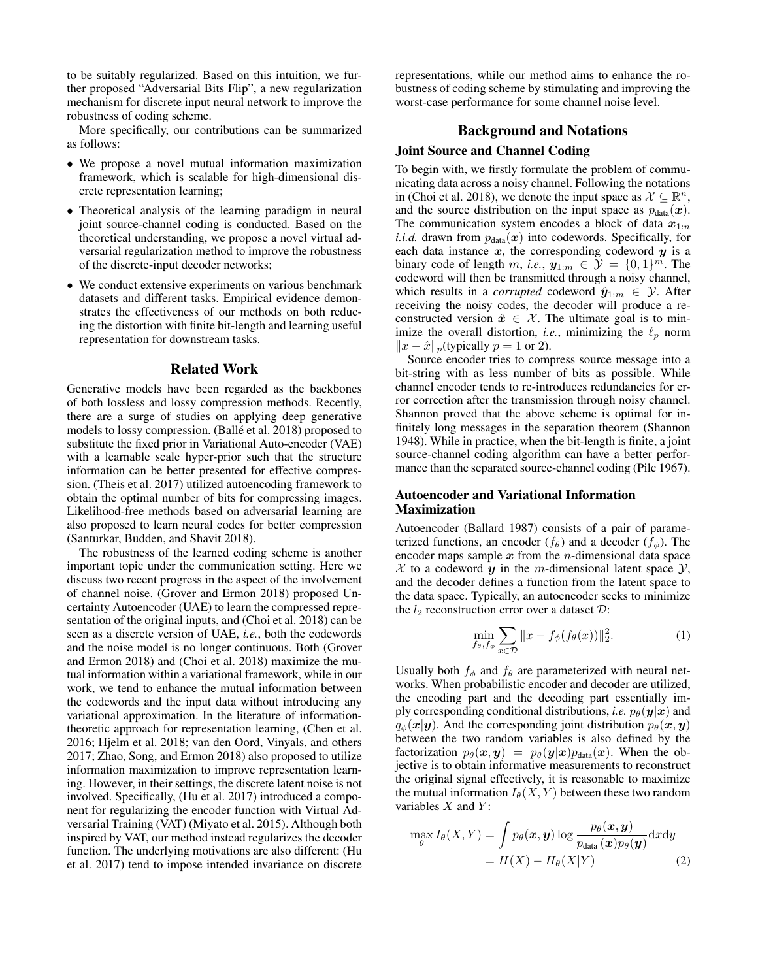to be suitably regularized. Based on this intuition, we further proposed "Adversarial Bits Flip", a new regularization mechanism for discrete input neural network to improve the robustness of coding scheme.

More specifically, our contributions can be summarized as follows:

- We propose a novel mutual information maximization framework, which is scalable for high-dimensional discrete representation learning;
- Theoretical analysis of the learning paradigm in neural joint source-channel coding is conducted. Based on the theoretical understanding, we propose a novel virtual adversarial regularization method to improve the robustness of the discrete-input decoder networks;
- We conduct extensive experiments on various benchmark datasets and different tasks. Empirical evidence demonstrates the effectiveness of our methods on both reducing the distortion with finite bit-length and learning useful representation for downstream tasks.

#### Related Work

Generative models have been regarded as the backbones of both lossless and lossy compression methods. Recently, there are a surge of studies on applying deep generative models to lossy compression. (Ballé et al. 2018) proposed to substitute the fixed prior in Variational Auto-encoder (VAE) with a learnable scale hyper-prior such that the structure information can be better presented for effective compression. (Theis et al. 2017) utilized autoencoding framework to obtain the optimal number of bits for compressing images. Likelihood-free methods based on adversarial learning are also proposed to learn neural codes for better compression (Santurkar, Budden, and Shavit 2018).

The robustness of the learned coding scheme is another important topic under the communication setting. Here we discuss two recent progress in the aspect of the involvement of channel noise. (Grover and Ermon 2018) proposed Uncertainty Autoencoder (UAE) to learn the compressed representation of the original inputs, and (Choi et al. 2018) can be seen as a discrete version of UAE, *i.e.*, both the codewords and the noise model is no longer continuous. Both (Grover and Ermon 2018) and (Choi et al. 2018) maximize the mutual information within a variational framework, while in our work, we tend to enhance the mutual information between the codewords and the input data without introducing any variational approximation. In the literature of informationtheoretic approach for representation learning, (Chen et al. 2016; Hjelm et al. 2018; van den Oord, Vinyals, and others 2017; Zhao, Song, and Ermon 2018) also proposed to utilize information maximization to improve representation learning. However, in their settings, the discrete latent noise is not involved. Specifically, (Hu et al. 2017) introduced a component for regularizing the encoder function with Virtual Adversarial Training (VAT) (Miyato et al. 2015). Although both inspired by VAT, our method instead regularizes the decoder function. The underlying motivations are also different: (Hu et al. 2017) tend to impose intended invariance on discrete

representations, while our method aims to enhance the robustness of coding scheme by stimulating and improving the worst-case performance for some channel noise level.

### Background and Notations

# Joint Source and Channel Coding

To begin with, we firstly formulate the problem of communicating data across a noisy channel. Following the notations in (Choi et al. 2018), we denote the input space as  $\mathcal{X} \subseteq \mathbb{R}^n$ , and the source distribution on the input space as  $p_{data}(\boldsymbol{x})$ . The communication system encodes a block of data  $x_{1:n}$ *i.i.d.* drawn from  $p_{data}(x)$  into codewords. Specifically, for each data instance  $x$ , the corresponding codeword  $y$  is a binary code of length m, *i.e.*,  $y_{1:m} \in \mathcal{Y} = \{0, 1\}^m$ . The codeword will then be transmitted through a noisy channel, which results in a *corrupted* codeword  $\hat{y}_{1:m} \in \mathcal{Y}$ . After receiving the noisy codes, the decoder will produce a reconstructed version  $\hat{x} \in \mathcal{X}$ . The ultimate goal is to minimize the overall distortion, *i.e.*, minimizing the  $\ell_p$  norm  $||x - \hat{x}||_p$ (typically *p* = 1 or 2).

Source encoder tries to compress source message into a bit-string with as less number of bits as possible. While channel encoder tends to re-introduces redundancies for error correction after the transmission through noisy channel. Shannon proved that the above scheme is optimal for infinitely long messages in the separation theorem (Shannon 1948). While in practice, when the bit-length is finite, a joint source-channel coding algorithm can have a better performance than the separated source-channel coding (Pilc 1967).

# Autoencoder and Variational Information Maximization

Autoencoder (Ballard 1987) consists of a pair of parameterized functions, an encoder ( $f_{\theta}$ ) and a decoder ( $f_{\phi}$ ). The encoder maps sample  $x$  from the *n*-dimensional data space  $X$  to a codeword  $y$  in the m-dimensional latent space  $Y$ , and the decoder defines a function from the latent space to the data space. Typically, an autoencoder seeks to minimize the  $l_2$  reconstruction error over a dataset  $\mathcal{D}$ :

$$
\min_{f_{\theta}, f_{\phi}} \sum_{x \in \mathcal{D}} \|x - f_{\phi}(f_{\theta}(x))\|_2^2.
$$
 (1)

Usually both  $f_{\phi}$  and  $f_{\theta}$  are parameterized with neural networks. When probabilistic encoder and decoder are utilized, the encoding part and the decoding part essentially imply corresponding conditional distributions, *i.e.*  $p_{\theta}(\mathbf{y}|\mathbf{x})$  and  $q_{\phi}(\mathbf{x}|\mathbf{y})$ . And the corresponding joint distribution  $p_{\theta}(\mathbf{x}, \mathbf{y})$ between the two random variables is also defined by the factorization  $p_{\theta}(\boldsymbol{x}, \boldsymbol{y}) = p_{\theta}(\boldsymbol{y}|\boldsymbol{x})p_{data}(\boldsymbol{x})$ . When the objective is to obtain informative measurements to reconstruct the original signal effectively, it is reasonable to maximize the mutual information  $I_{\theta}(X, Y)$  between these two random variables  $X$  and  $Y$ :

$$
\max_{\theta} I_{\theta}(X, Y) = \int p_{\theta}(\boldsymbol{x}, \boldsymbol{y}) \log \frac{p_{\theta}(\boldsymbol{x}, \boldsymbol{y})}{p_{\text{data}}(\boldsymbol{x}) p_{\theta}(\boldsymbol{y})} dxdy
$$

$$
= H(X) - H_{\theta}(X|Y) \tag{2}
$$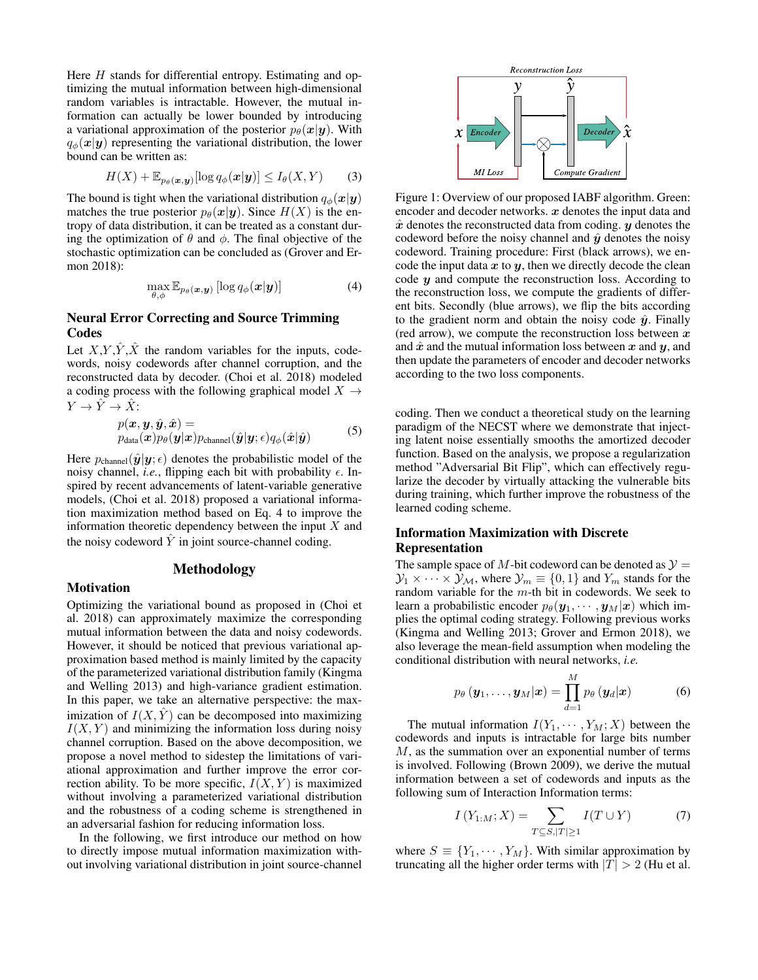Here  $H$  stands for differential entropy. Estimating and optimizing the mutual information between high-dimensional random variables is intractable. However, the mutual information can actually be lower bounded by introducing a variational approximation of the posterior  $p_{\theta}(\mathbf{x}|\mathbf{y})$ . With  $q_{\phi}(\mathbf{x}|\mathbf{y})$  representing the variational distribution, the lower bound can be written as:

$$
H(X) + \mathbb{E}_{p_{\theta}(\boldsymbol{x}, \boldsymbol{y})}[\log q_{\phi}(\boldsymbol{x}|\boldsymbol{y})] \le I_{\theta}(X, Y) \qquad (3)
$$

The bound is tight when the variational distribution  $q_{\phi}(\mathbf{x}|\mathbf{y})$ matches the true posterior  $p_{\theta}(\mathbf{x}|\mathbf{y})$ . Since  $H(X)$  is the entropy of data distribution, it can be treated as a constant during the optimization of  $\theta$  and  $\phi$ . The final objective of the stochastic optimization can be concluded as (Grover and Ermon 2018):

$$
\max_{\theta,\phi} \mathbb{E}_{p_{\theta}(\boldsymbol{x},\boldsymbol{y})} [\log q_{\phi}(\boldsymbol{x}|\boldsymbol{y})] \tag{4}
$$

## Neural Error Correcting and Source Trimming Codes

Let  $X, Y, \hat{Y}, \hat{X}$  the random variables for the inputs, codewords, noisy codewords after channel corruption, and the reconstructed data by decoder. (Choi et al. 2018) modeled a coding process with the following graphical model  $X \rightarrow$  $Y \to \hat{Y} \to \hat{X}$ :

$$
p(\boldsymbol{x}, \boldsymbol{y}, \hat{\boldsymbol{y}}, \hat{\boldsymbol{x}}) = p_{\text{data}}(\boldsymbol{x}) p_{\theta}(\boldsymbol{y}|\boldsymbol{x}) p_{\text{channel}}(\hat{\boldsymbol{y}}|\boldsymbol{y}; \epsilon) q_{\phi}(\hat{\boldsymbol{x}}|\hat{\boldsymbol{y}})
$$
 (5)

Here  $p_{channel}(\hat{\mathbf{y}}|\mathbf{y}; \epsilon)$  denotes the probabilistic model of the noisy channel, *i.e.*, flipping each bit with probability  $\epsilon$ . Inspired by recent advancements of latent-variable generative models, (Choi et al. 2018) proposed a variational information maximization method based on Eq. 4 to improve the information theoretic dependency between the input  $X$  and the noisy codeword  $\hat{Y}$  in joint source-channel coding.

# Methodology

### Motivation

Optimizing the variational bound as proposed in (Choi et al. 2018) can approximately maximize the corresponding mutual information between the data and noisy codewords. However, it should be noticed that previous variational approximation based method is mainly limited by the capacity of the parameterized variational distribution family (Kingma and Welling 2013) and high-variance gradient estimation. In this paper, we take an alternative perspective: the maximization of  $I(X, \hat{Y})$  can be decomposed into maximizing  $I(X, Y)$  and minimizing the information loss during noisy channel corruption. Based on the above decomposition, we propose a novel method to sidestep the limitations of variational approximation and further improve the error correction ability. To be more specific,  $I(X, Y)$  is maximized without involving a parameterized variational distribution and the robustness of a coding scheme is strengthened in an adversarial fashion for reducing information loss.

In the following, we first introduce our method on how to directly impose mutual information maximization without involving variational distribution in joint source-channel



Figure 1: Overview of our proposed IABF algorithm. Green: encoder and decoder networks.  $x$  denotes the input data and  $\hat{x}$  denotes the reconstructed data from coding.  $y$  denotes the codeword before the noisy channel and  $\hat{y}$  denotes the noisy codeword. Training procedure: First (black arrows), we encode the input data  $x$  to  $y$ , then we directly decode the clean code  $y$  and compute the reconstruction loss. According to the reconstruction loss, we compute the gradients of different bits. Secondly (blue arrows), we flip the bits according to the gradient norm and obtain the noisy code  $\hat{y}$ . Finally (red arrow), we compute the reconstruction loss between  $x$ and  $\hat{x}$  and the mutual information loss between x and y, and then update the parameters of encoder and decoder networks according to the two loss components.

coding. Then we conduct a theoretical study on the learning paradigm of the NECST where we demonstrate that injecting latent noise essentially smooths the amortized decoder function. Based on the analysis, we propose a regularization method "Adversarial Bit Flip", which can effectively regularize the decoder by virtually attacking the vulnerable bits during training, which further improve the robustness of the learned coding scheme.

# Information Maximization with Discrete Representation

The sample space of M-bit codeword can be denoted as  $\mathcal{Y} =$  $\mathcal{Y}_1 \times \cdots \times \mathcal{Y}_M$ , where  $\mathcal{Y}_m \equiv \{0, 1\}$  and  $Y_m$  stands for the random variable for the m-th bit in codewords. We seek to learn a probabilistic encoder  $p_{\theta}(\mathbf{y}_1, \cdots, \mathbf{y}_M|\mathbf{x})$  which implies the optimal coding strategy. Following previous works (Kingma and Welling 2013; Grover and Ermon 2018), we also leverage the mean-field assumption when modeling the conditional distribution with neural networks, *i.e.*

$$
p_{\theta}(\mathbf{y}_1,\ldots,\mathbf{y}_M|\mathbf{x}) = \prod_{d=1}^M p_{\theta}(\mathbf{y}_d|\mathbf{x})
$$
 (6)

The mutual information  $I(Y_1, \dots, Y_M; X)$  between the codewords and inputs is intractable for large bits number M, as the summation over an exponential number of terms is involved. Following (Brown 2009), we derive the mutual information between a set of codewords and inputs as the following sum of Interaction Information terms:

$$
I(Y_{1:M}; X) = \sum_{T \subseteq S, |T| \ge 1} I(T \cup Y) \tag{7}
$$

where  $S \equiv \{Y_1, \dots, Y_M\}$ . With similar approximation by truncating all the higher order terms with  $|T| > 2$  (Hu et al.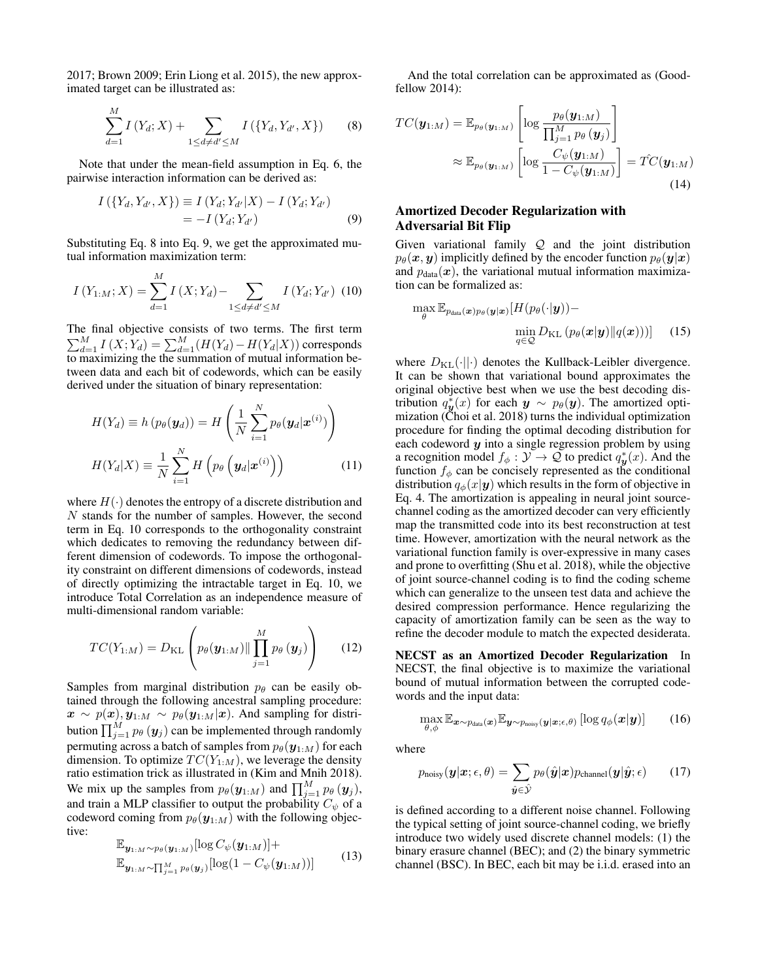2017; Brown 2009; Erin Liong et al. 2015), the new approximated target can be illustrated as:

$$
\sum_{d=1}^{M} I(Y_d; X) + \sum_{1 \le d \ne d' \le M} I(\{Y_d, Y_{d'}, X\})
$$
(8)

Note that under the mean-field assumption in Eq. 6, the pairwise interaction information can be derived as:

$$
I(\{Y_d, Y_{d'}, X\}) \equiv I(Y_d; Y_{d'}|X) - I(Y_d; Y_{d'})
$$
  
= -I(Y\_d; Y\_{d'}) (9)

Substituting Eq. 8 into Eq. 9, we get the approximated mutual information maximization term:

$$
I(Y_{1:M};X) = \sum_{d=1}^{M} I(X;Y_d) - \sum_{1 \le d \ne d' \le M} I(Y_d;Y_{d'}) \tag{10}
$$

The final objective consists of two terms. The first term  $\sum_{d=1}^{M} I(X; Y_d) = \sum_{d=1}^{M} (H(Y_d) - H(Y_d|X))$  corresponds to maximizing the the summation of mutual information between data and each bit of codewords, which can be easily derived under the situation of binary representation:

$$
H(Y_d) \equiv h(p_{\theta}(\mathbf{y}_d)) = H\left(\frac{1}{N} \sum_{i=1}^{N} p_{\theta}(\mathbf{y}_d | \mathbf{x}^{(i)})\right)
$$

$$
H(Y_d | X) \equiv \frac{1}{N} \sum_{i=1}^{N} H\left(p_{\theta}\left(\mathbf{y}_d | \mathbf{x}^{(i)}\right)\right)
$$
(11)

where  $H(\cdot)$  denotes the entropy of a discrete distribution and N stands for the number of samples. However, the second term in Eq. 10 corresponds to the orthogonality constraint which dedicates to removing the redundancy between different dimension of codewords. To impose the orthogonality constraint on different dimensions of codewords, instead of directly optimizing the intractable target in Eq. 10, we introduce Total Correlation as an independence measure of multi-dimensional random variable:

$$
TC(Y_{1:M}) = D_{\text{KL}}\left(p_{\theta}(\boldsymbol{y}_{1:M}) \|\prod_{j=1}^{M} p_{\theta}(\boldsymbol{y}_{j})\right)
$$
(12)

Samples from marginal distribution  $p_\theta$  can be easily obtained through the following ancestral sampling procedure:  $\bm{x} \sim p(\bm{x}), \bm{y}_{1:M} \sim p_{\theta}(\bm{y}_{1:M}|\bm{x})$ . And sampling for distribution  $\prod_{j=1}^{M} p_{\theta} \left( \mathbf{y}_{j} \right)$  can be implemented through randomly permuting across a batch of samples from  $p_{\theta}(\mathbf{y}_{1:M})$  for each dimension. To optimize  $TC(Y_{1:M})$ , we leverage the density ratio estimation trick as illustrated in (Kim and Mnih 2018). We mix up the samples from  $p_{\theta}(\mathbf{y}_{1:M})$  and  $\prod_{j=1}^{M} p_{\theta}(\mathbf{y}_j)$ , and train a MLP classifier to output the probability  $C_{\psi}$  of a codeword coming from  $p_{\theta}(\mathbf{y}_{1:M})$  with the following objective:

$$
\mathbb{E}_{\mathbf{y}_{1:M} \sim p_{\theta}(\mathbf{y}_{1:M})}[\log C_{\psi}(\mathbf{y}_{1:M})] + \mathbb{E}_{\mathbf{y}_{1:M} \sim \prod_{j=1}^{M} p_{\theta}(\mathbf{y}_{j})}[\log(1 - C_{\psi}(\mathbf{y}_{1:M}))]
$$
(13)

And the total correlation can be approximated as (Goodfellow 2014):

$$
TC(\boldsymbol{y}_{1:M}) = \mathbb{E}_{p_{\theta}(\boldsymbol{y}_{1:M})} \left[ \log \frac{p_{\theta}(\boldsymbol{y}_{1:M})}{\prod_{j=1}^{M} p_{\theta}(\boldsymbol{y}_{j})} \right]
$$

$$
\approx \mathbb{E}_{p_{\theta}(\boldsymbol{y}_{1:M})} \left[ \log \frac{C_{\psi}(\boldsymbol{y}_{1:M})}{1 - C_{\psi}(\boldsymbol{y}_{1:M})} \right] = \hat{TC}(\boldsymbol{y}_{1:M})
$$
(14)

# Amortized Decoder Regularization with Adversarial Bit Flip

Given variational family  $Q$  and the joint distribution  $p_{\theta}(\boldsymbol{x}, \boldsymbol{y})$  implicitly defined by the encoder function  $p_{\theta}(\boldsymbol{y}|\boldsymbol{x})$ and  $p_{data}(\boldsymbol{x})$ , the variational mutual information maximization can be formalized as:

$$
\max_{\theta} \mathbb{E}_{p_{data}(\boldsymbol{x})p_{\theta}(\boldsymbol{y}|\boldsymbol{x})}[H(p_{\theta}(\cdot|\boldsymbol{y})) - \min_{q \in \mathcal{Q}} D_{\mathrm{KL}}(p_{\theta}(\boldsymbol{x}|\boldsymbol{y})||q(\boldsymbol{x})))] \quad (15)
$$

where  $D_{\text{KL}}(\cdot||\cdot)$  denotes the Kullback-Leibler divergence. It can be shown that variational bound approximates the original objective best when we use the best decoding distribution  $q_{\boldsymbol{y}}^*(x)$  for each  $\boldsymbol{y} \sim p_{\theta}(\boldsymbol{y})$ . The amortized optimization (Choi et al. 2018) turns the individual optimization procedure for finding the optimal decoding distribution for each codeword  $y$  into a single regression problem by using a recognition model  $f_{\phi}: \mathcal{Y} \to \mathcal{Q}$  to predict  $q_{\mathbf{y}}^{*}(x)$ . And the function  $f_{\phi}$  can be concisely represented as the conditional distribution  $q_{\phi}(x|\mathbf{y})$  which results in the form of objective in Eq. 4. The amortization is appealing in neural joint sourcechannel coding as the amortized decoder can very efficiently map the transmitted code into its best reconstruction at test time. However, amortization with the neural network as the variational function family is over-expressive in many cases and prone to overfitting (Shu et al. 2018), while the objective of joint source-channel coding is to find the coding scheme which can generalize to the unseen test data and achieve the desired compression performance. Hence regularizing the capacity of amortization family can be seen as the way to refine the decoder module to match the expected desiderata.

NECST as an Amortized Decoder Regularization In NECST, the final objective is to maximize the variational bound of mutual information between the corrupted codewords and the input data:

$$
\max_{\theta,\phi} \mathbb{E}_{\boldsymbol{x} \sim p_{\text{data}}(\boldsymbol{x})} \mathbb{E}_{\boldsymbol{y} \sim p_{\text{noisy}}(\boldsymbol{y}|\boldsymbol{x};\epsilon,\theta)} \left[ \log q_{\phi}(\boldsymbol{x}|\boldsymbol{y}) \right]
$$
(16)

where

$$
p_{\text{noisy}}(\boldsymbol{y}|\boldsymbol{x}; \epsilon, \theta) = \sum_{\hat{\boldsymbol{y}} \in \hat{\mathcal{Y}}} p_{\theta}(\hat{\boldsymbol{y}}|\boldsymbol{x}) p_{\text{channel}}(\boldsymbol{y}|\hat{\boldsymbol{y}}; \epsilon)
$$
(17)

is defined according to a different noise channel. Following the typical setting of joint source-channel coding, we briefly introduce two widely used discrete channel models: (1) the binary erasure channel (BEC); and (2) the binary symmetric channel (BSC). In BEC, each bit may be i.i.d. erased into an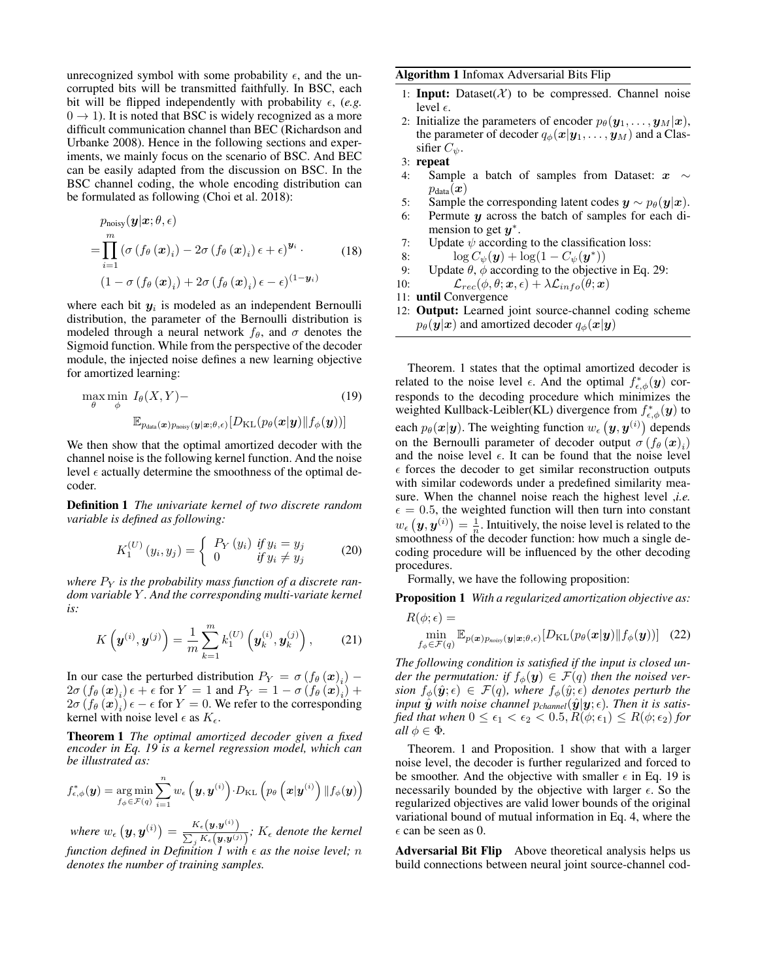unrecognized symbol with some probability  $\epsilon$ , and the uncorrupted bits will be transmitted faithfully. In BSC, each bit will be flipped independently with probability  $\epsilon$ , (e.g.  $0 \rightarrow 1$ ). It is noted that BSC is widely recognized as a more difficult communication channel than BEC (Richardson and Urbanke 2008). Hence in the following sections and experiments, we mainly focus on the scenario of BSC. And BEC can be easily adapted from the discussion on BSC. In the BSC channel coding, the whole encoding distribution can be formulated as following (Choi et al. 2018):

$$
p_{\text{noisy}}(\mathbf{y}|\mathbf{x}; \theta, \epsilon)
$$
  
= 
$$
\prod_{i=1}^{m} (\sigma(f_{\theta}(\mathbf{x})_i) - 2\sigma(f_{\theta}(\mathbf{x})_i) \epsilon + \epsilon)^{\mathbf{y}_i}.
$$
 (18)  

$$
(1 - \sigma(f_{\theta}(\mathbf{x})_i) + 2\sigma(f_{\theta}(\mathbf{x})_i) \epsilon - \epsilon)^{(1 - \mathbf{y}_i)}
$$

where each bit  $y_i$  is modeled as an independent Bernoulli distribution, the parameter of the Bernoulli distribution is modeled through a neural network  $f_{\theta}$ , and  $\sigma$  denotes the Sigmoid function. While from the perspective of the decoder module, the injected noise defines a new learning objective for amortized learning:

$$
\max_{\theta} \min_{\phi} I_{\theta}(X, Y) - \sum_{\mathbb{E}_{p_{data}}(\boldsymbol{x})p_{\text{noisy}}(\boldsymbol{y}|\boldsymbol{x};\theta,\epsilon)} [D_{\text{KL}}(p_{\theta}(\boldsymbol{x}|\boldsymbol{y})||f_{\phi}(\boldsymbol{y}))]
$$
(19)

We then show that the optimal amortized decoder with the channel noise is the following kernel function. And the noise level  $\epsilon$  actually determine the smoothness of the optimal decoder.

Definition 1 *The univariate kernel of two discrete random variable is defined as following:*

$$
K_1^{(U)}(y_i, y_j) = \begin{cases} P_Y(y_i) & \text{if } y_i = y_j \\ 0 & \text{if } y_i \neq y_j \end{cases}
$$
 (20)

where  $P_Y$  is the probability mass function of a discrete ran*dom variable* Y *. And the corresponding multi-variate kernel is:*

$$
K\left(\bm{y}^{(i)}, \bm{y}^{(j)}\right) = \frac{1}{m} \sum_{k=1}^{m} k_1^{(U)}\left(\bm{y}_k^{(i)}, \bm{y}_k^{(j)}\right),\qquad(21)
$$

In our case the perturbed distribution  $P_Y = \sigma \left(f_\theta \left(\boldsymbol{x}\right)_i\right)$  –  $2\sigma \left(f_{\theta} \left(\boldsymbol{x}\right)_i\right) \epsilon + \epsilon \text{ for } Y = 1 \text{ and } P_Y = 1 - \sigma \left(f_{\theta} \left(\boldsymbol{x}\right)_i\right) +$  $2\sigma \left(f_{\theta} \left(\boldsymbol{x}\right)_i\right)\epsilon-\epsilon$  for  $Y=0$ . We refer to the corresponding kernel with noise level  $\epsilon$  as  $K_{\epsilon}$ .

Theorem 1 *The optimal amortized decoder given a fixed encoder in Eq. 19 is a kernel regression model, which can be illustrated as:*

$$
f_{\epsilon,\phi}^*(\bm{y}) = \argmin_{f_{\phi} \in \mathcal{F}(q)} \sum_{i=1}^n w_{\epsilon}\left(\bm{y},\bm{y}^{(i)}\right) \cdot D_{\mathrm{KL}}\left(p_{\theta}\left(\bm{x}|\bm{y}^{(i)}\right) \| f_{\phi}(\bm{y})\right)
$$

where  $w_{\epsilon}(\boldsymbol{y}, \boldsymbol{y}^{(i)}) = \frac{K_{\epsilon}(\boldsymbol{y}, \boldsymbol{y}^{(i)})}{\sum_{\boldsymbol{K}} \sum_{\boldsymbol{y} \in \boldsymbol{y}^{(i)}}$  $\frac{K_{\epsilon}(\bm{y}, \bm{y}^{\dagger})}{\sum_{j} K_{\epsilon}(\bm{y}, \bm{y}^{(j)})}$ ;  $K_{\epsilon}$  denote the kernel *function defined in Definition 1 with*  $\epsilon$  *as the noise level; n denotes the number of training samples.*

#### Algorithm 1 Infomax Adversarial Bits Flip

- 1: Input: Dataset( $X$ ) to be compressed. Channel noise level  $\epsilon$ .
- 2: Initialize the parameters of encoder  $p_{\theta}(\mathbf{y}_1, \dots, \mathbf{y}_M|\mathbf{x}),$ the parameter of decoder  $q_{\phi}(\boldsymbol{x}|\boldsymbol{y}_1,\dots,\boldsymbol{y}_M)$  and a Classifier  $C_{\psi}$ .
- 3: repeat
- 4: Sample a batch of samples from Dataset:  $x \sim$  $p_{data}(\boldsymbol{x})$
- 5: Sample the corresponding latent codes  $y \sim p_{\theta}(y|x)$ .
- 6: Permute  $y$  across the batch of samples for each dimension to get  $y^*$ .
- 7: Update  $\psi$  according to the classification loss:
- 8:  $\log C_{\psi}(\mathbf{y}) + \log(1 C_{\psi}(\mathbf{y}^*))$
- 9: Update  $\theta$ ,  $\phi$  according to the objective in Eq. 29:
- 10:  $\mathcal{L}_{rec}(\phi, \theta; \boldsymbol{x}, \epsilon) + \lambda \mathcal{L}_{info}(\theta; \boldsymbol{x})$
- 11: until Convergence
- 12: Output: Learned joint source-channel coding scheme  $p_{\theta}(\mathbf{y}|\mathbf{x})$  and amortized decoder  $q_{\phi}(\mathbf{x}|\mathbf{y})$

Theorem. 1 states that the optimal amortized decoder is related to the noise level  $\epsilon$ . And the optimal  $f^*_{\epsilon,\phi}(\mathbf{y})$  corresponds to the decoding procedure which minimizes the weighted Kullback-Leibler(KL) divergence from  $f_{\epsilon,\phi}^*(y)$  to each  $p_{\theta}(\boldsymbol{x}|\boldsymbol{y}).$  The weighting function  $w_{\epsilon} \left(\boldsymbol{y}, \boldsymbol{y}^{(i)}\right)$  depends on the Bernoulli parameter of decoder output  $\sigma(f_{\theta}(\boldsymbol{x})_i)$ and the noise level  $\epsilon$ . It can be found that the noise level  $\epsilon$  forces the decoder to get similar reconstruction outputs with similar codewords under a predefined similarity measure. When the channel noise reach the highest level ,*i.e.*  $\epsilon = 0.5$ , the weighted function will then turn into constant  $w_{\epsilon}(\boldsymbol{y}, \boldsymbol{y}^{(i)}) = \frac{1}{n}$ . Intuitively, the noise level is related to the smoothness of the decoder function: how much a single decoding procedure will be influenced by the other decoding procedures.

Formally, we have the following proposition:

Proposition 1 *With a regularized amortization objective as:*

$$
R(\phi; \epsilon) = \min_{f_{\phi} \in \mathcal{F}(q)} \mathbb{E}_{p(\boldsymbol{x})p_{\text{noisy}}(\boldsymbol{y}|\boldsymbol{x};\theta,\epsilon)} [D_{\text{KL}}(p_{\theta}(\boldsymbol{x}|\boldsymbol{y}) || f_{\phi}(\boldsymbol{y}))]
$$
(22)

*The following condition is satisfied if the input is closed under the permutation: if*  $f_{\phi}(\mathbf{y}) \in \mathcal{F}(q)$  *then the noised version*  $f_{\phi}(\hat{\mathbf{y}};\epsilon) \in \mathcal{F}(q)$ , where  $f_{\phi}(\hat{y};\epsilon)$  denotes perturb the *input*  $\hat{y}$  *with noise channel*  $p_{channel}(\hat{y}|\mathbf{y}; \epsilon)$ *. Then it is satisfied that when*  $0 \le \epsilon_1 < \epsilon_2 < 0.5, R(\phi; \epsilon_1) \le R(\phi; \epsilon_2)$  *for all*  $\phi \in \Phi$ *.* 

Theorem. 1 and Proposition. 1 show that with a larger noise level, the decoder is further regularized and forced to be smoother. And the objective with smaller  $\epsilon$  in Eq. 19 is necessarily bounded by the objective with larger  $\epsilon$ . So the regularized objectives are valid lower bounds of the original variational bound of mutual information in Eq. 4, where the  $\epsilon$  can be seen as 0.

Adversarial Bit Flip Above theoretical analysis helps us build connections between neural joint source-channel cod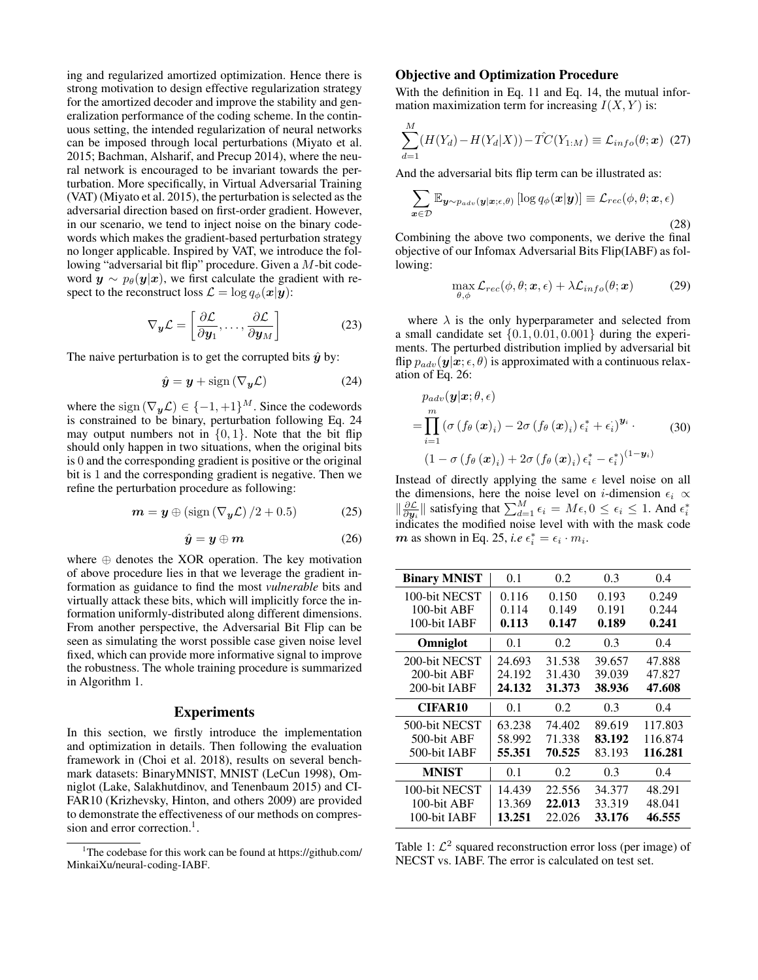ing and regularized amortized optimization. Hence there is strong motivation to design effective regularization strategy for the amortized decoder and improve the stability and generalization performance of the coding scheme. In the continuous setting, the intended regularization of neural networks can be imposed through local perturbations (Miyato et al. 2015; Bachman, Alsharif, and Precup 2014), where the neural network is encouraged to be invariant towards the perturbation. More specifically, in Virtual Adversarial Training (VAT) (Miyato et al. 2015), the perturbation is selected as the adversarial direction based on first-order gradient. However, in our scenario, we tend to inject noise on the binary codewords which makes the gradient-based perturbation strategy no longer applicable. Inspired by VAT, we introduce the following "adversarial bit flip" procedure. Given a M-bit codeword  $y \sim p_{\theta}(y|x)$ , we first calculate the gradient with respect to the reconstruct loss  $\mathcal{L} = \log q_{\phi}(\mathbf{x}|\mathbf{y})$ :

$$
\nabla_{\boldsymbol{y}} \mathcal{L} = \left[ \frac{\partial \mathcal{L}}{\partial y_1}, \dots, \frac{\partial \mathcal{L}}{\partial y_M} \right] \tag{23}
$$

The naive perturbation is to get the corrupted bits  $\hat{y}$  by:

$$
\hat{\mathbf{y}} = \mathbf{y} + \text{sign}\left(\nabla_{\mathbf{y}} \mathcal{L}\right) \tag{24}
$$

where the sign  $(\nabla_y \mathcal{L}) \in \{-1, +1\}^M$ . Since the codewords is constrained to be binary, perturbation following Eq. 24 may output numbers not in  $\{0, 1\}$ . Note that the bit flip should only happen in two situations, when the original bits is 0 and the corresponding gradient is positive or the original bit is 1 and the corresponding gradient is negative. Then we refine the perturbation procedure as following:

$$
\mathbf{m} = \mathbf{y} \oplus (\text{sign}\left(\nabla_{\mathbf{y}} \mathcal{L}\right) / 2 + 0.5) \tag{25}
$$

$$
\hat{\boldsymbol{y}} = \boldsymbol{y} \oplus \boldsymbol{m} \tag{26}
$$

where  $\oplus$  denotes the XOR operation. The key motivation of above procedure lies in that we leverage the gradient information as guidance to find the most *vulnerable* bits and virtually attack these bits, which will implicitly force the information uniformly-distributed along different dimensions. From another perspective, the Adversarial Bit Flip can be seen as simulating the worst possible case given noise level fixed, which can provide more informative signal to improve the robustness. The whole training procedure is summarized in Algorithm 1.

### Experiments

In this section, we firstly introduce the implementation and optimization in details. Then following the evaluation framework in (Choi et al. 2018), results on several benchmark datasets: BinaryMNIST, MNIST (LeCun 1998), Omniglot (Lake, Salakhutdinov, and Tenenbaum 2015) and CI-FAR10 (Krizhevsky, Hinton, and others 2009) are provided to demonstrate the effectiveness of our methods on compression and error correction.<sup>1</sup>.

#### Objective and Optimization Procedure

With the definition in Eq. 11 and Eq. 14, the mutual information maximization term for increasing  $I(X, Y)$  is:

$$
\sum_{d=1}^{M} (H(Y_d) - H(Y_d|X)) - \hat{TC}(Y_{1:M}) \equiv \mathcal{L}_{info}(\theta; \mathbf{x}) \tag{27}
$$

And the adversarial bits flip term can be illustrated as:

$$
\sum_{\boldsymbol{x}\in\mathcal{D}}\mathbb{E}_{\boldsymbol{y}\sim p_{adv}(\boldsymbol{y}|\boldsymbol{x};\epsilon,\theta)}\left[\log q_{\phi}(\boldsymbol{x}|\boldsymbol{y})\right] \equiv \mathcal{L}_{rec}(\phi,\theta;\boldsymbol{x},\epsilon)
$$
\n(28)

Combining the above two components, we derive the final objective of our Infomax Adversarial Bits Flip(IABF) as following:

$$
\max_{\theta,\phi} \mathcal{L}_{rec}(\phi,\theta;\boldsymbol{x},\epsilon) + \lambda \mathcal{L}_{info}(\theta;\boldsymbol{x}) \tag{29}
$$

where  $\lambda$  is the only hyperparameter and selected from a small candidate set  $\{0.1, 0.01, 0.001\}$  during the experiments. The perturbed distribution implied by adversarial bit flip  $p_{adv}(\mathbf{y}|\mathbf{x}; \epsilon, \theta)$  is approximated with a continuous relaxation of Eq. 26:

$$
p_{adv}(\boldsymbol{y}|\boldsymbol{x}; \theta, \epsilon)
$$
  
= 
$$
\prod_{i=1}^{m} (\sigma(f_{\theta}(\boldsymbol{x})_i) - 2\sigma(f_{\theta}(\boldsymbol{x})_i) \epsilon_i^* + \epsilon_i)^{\boldsymbol{y}_i}.
$$
 (30)  

$$
(1 - \sigma(f_{\theta}(\boldsymbol{x})_i) + 2\sigma(f_{\theta}(\boldsymbol{x})_i) \epsilon_i^* - \epsilon_i^*)^{(1 - \boldsymbol{y}_i)}
$$

Instead of directly applying the same  $\epsilon$  level noise on all the dimensions, here the noise level on *i*-dimension  $\epsilon_i \propto$  $\|\frac{\partial \mathcal{L}}{\partial y_i}\|$  satisfying that  $\sum_{d=1}^{M} ε_i = Mε, 0 ≤ ε_i ≤ 1$ . And  $ε_i^*$ indicates the modified noise level with with the mask code  $m$  as shown in Eq. 25, *i.e*  $\epsilon_i^* = \epsilon_i \cdot m_i$ .

| <b>Binary MNIST</b> | 0.1    | 0.2    | 0.3    | 0.4     |
|---------------------|--------|--------|--------|---------|
| 100-bit NECST       | 0.116  | 0.150  | 0.193  | 0.249   |
| 100-bit ABF         | 0.114  | 0.149  | 0.191  | 0.244   |
| 100-bit IABF        | 0.113  | 0.147  | 0.189  | 0.241   |
| Omniglot            | 0.1    | 0.2    | 0.3    | 0.4     |
| 200-bit NECST       | 24.693 | 31.538 | 39.657 | 47.888  |
| 200-bit ABF         | 24.192 | 31.430 | 39.039 | 47.827  |
| 200-bit IABF        | 24.132 | 31.373 | 38.936 | 47.608  |
| CIFAR10             | 0.1    | 0.2    | 0.3    | 0.4     |
| 500-bit NECST       | 63.238 | 74.402 | 89.619 | 117.803 |
| 500-bit ABF         | 58.992 | 71.338 | 83.192 | 116.874 |
| 500-bit IABF        | 55.351 | 70.525 | 83.193 | 116.281 |
| <b>MNIST</b>        | 0.1    | 0.2    | 0.3    | 0.4     |
| 100-bit NECST       | 14.439 | 22.556 | 34.377 | 48.291  |
| 100-bit ABF         | 13.369 | 22.013 | 33.319 | 48.041  |
| 100-bit IABF        | 13.251 | 22.026 | 33.176 | 46.555  |

Table 1:  $\mathcal{L}^2$  squared reconstruction error loss (per image) of NECST vs. IABF. The error is calculated on test set.

<sup>&</sup>lt;sup>1</sup>The codebase for this work can be found at https://github.com/ MinkaiXu/neural-coding-IABF.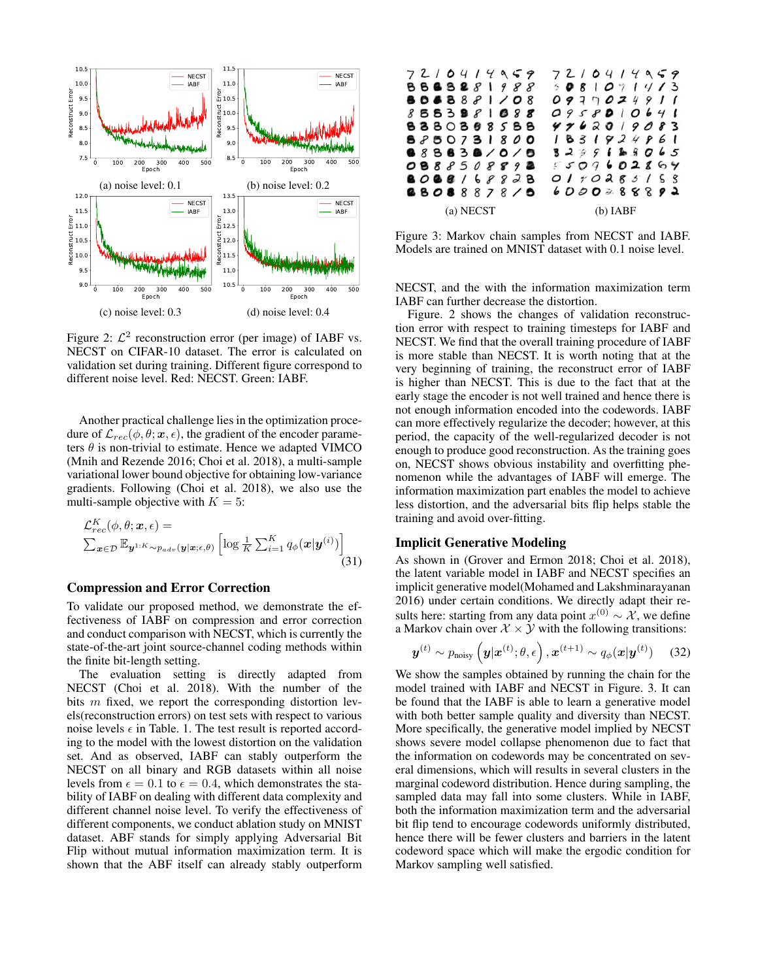

Figure 2:  $\mathcal{L}^2$  reconstruction error (per image) of IABF vs. NECST on CIFAR-10 dataset. The error is calculated on validation set during training. Different figure correspond to different noise level. Red: NECST. Green: IABF.

Another practical challenge lies in the optimization procedure of  $\mathcal{L}_{rec}(\phi, \theta; \mathbf{x}, \epsilon)$ , the gradient of the encoder parameters  $\theta$  is non-trivial to estimate. Hence we adapted VIMCO (Mnih and Rezende 2016; Choi et al. 2018), a multi-sample variational lower bound objective for obtaining low-variance gradients. Following (Choi et al. 2018), we also use the multi-sample objective with  $K = 5$ :

$$
\mathcal{L}_{rec}^{K}(\phi, \theta; \mathbf{x}, \epsilon) = \sum_{\mathbf{x} \in \mathcal{D}} \mathbb{E}_{\mathbf{y}^{1:K} \sim p_{adv}(\mathbf{y}|\mathbf{x}; \epsilon, \theta)} \left[ \log \frac{1}{K} \sum_{i=1}^{K} q_{\phi}(\mathbf{x}|\mathbf{y}^{(i)}) \right]
$$
(31)

#### Compression and Error Correction

To validate our proposed method, we demonstrate the effectiveness of IABF on compression and error correction and conduct comparison with NECST, which is currently the state-of-the-art joint source-channel coding methods within the finite bit-length setting.

The evaluation setting is directly adapted from NECST (Choi et al. 2018). With the number of the bits m fixed, we report the corresponding distortion levels(reconstruction errors) on test sets with respect to various noise levels  $\epsilon$  in Table. 1. The test result is reported according to the model with the lowest distortion on the validation set. And as observed, IABF can stably outperform the NECST on all binary and RGB datasets within all noise levels from  $\epsilon = 0.1$  to  $\epsilon = 0.4$ , which demonstrates the stability of IABF on dealing with different data complexity and different channel noise level. To verify the effectiveness of different components, we conduct ablation study on MNIST dataset. ABF stands for simply applying Adversarial Bit Flip without mutual information maximization term. It is shown that the ABF itself can already stably outperform



Figure 3: Markov chain samples from NECST and IABF. Models are trained on MNIST dataset with 0.1 noise level.

NECST, and the with the information maximization term IABF can further decrease the distortion.

Figure. 2 shows the changes of validation reconstruction error with respect to training timesteps for IABF and NECST. We find that the overall training procedure of IABF is more stable than NECST. It is worth noting that at the very beginning of training, the reconstruct error of IABF is higher than NECST. This is due to the fact that at the early stage the encoder is not well trained and hence there is not enough information encoded into the codewords. IABF can more effectively regularize the decoder; however, at this period, the capacity of the well-regularized decoder is not enough to produce good reconstruction. As the training goes on, NECST shows obvious instability and overfitting phenomenon while the advantages of IABF will emerge. The information maximization part enables the model to achieve less distortion, and the adversarial bits flip helps stable the training and avoid over-fitting.

### Implicit Generative Modeling

As shown in (Grover and Ermon 2018; Choi et al. 2018), the latent variable model in IABF and NECST specifies an implicit generative model(Mohamed and Lakshminarayanan 2016) under certain conditions. We directly adapt their results here: starting from any data point  $x^{(0)} \sim \mathcal{X}$ , we define a Markov chain over  $\mathcal{X} \times \mathcal{Y}$  with the following transitions:

$$
\boldsymbol{y}^{(t)} \sim p_{\text{noisy}}\left(\boldsymbol{y}|\boldsymbol{x}^{(t)};\theta,\epsilon\right), \boldsymbol{x}^{(t+1)} \sim q_{\phi}(\boldsymbol{x}|\boldsymbol{y}^{(t)}) \quad (32)
$$

We show the samples obtained by running the chain for the model trained with IABF and NECST in Figure. 3. It can be found that the IABF is able to learn a generative model with both better sample quality and diversity than NECST. More specifically, the generative model implied by NECST shows severe model collapse phenomenon due to fact that the information on codewords may be concentrated on several dimensions, which will results in several clusters in the marginal codeword distribution. Hence during sampling, the sampled data may fall into some clusters. While in IABF, both the information maximization term and the adversarial bit flip tend to encourage codewords uniformly distributed, hence there will be fewer clusters and barriers in the latent codeword space which will make the ergodic condition for Markov sampling well satisfied.